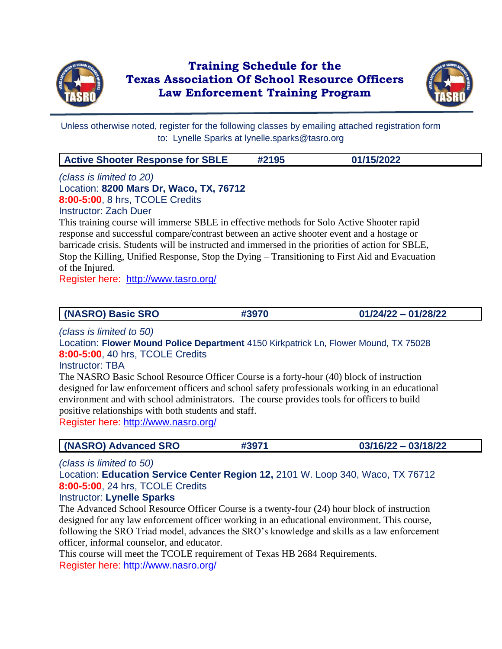

## **Training Schedule for the Texas Association Of School Resource Officers Law Enforcement Training Program**



Unless otherwise noted, register for the following classes by emailing attached registration form to: Lynelle Sparks at lynelle.sparks@tasro.org

| <b>Active Shooter Response for SBLE</b> | #2195 | 01/15/2022 |  |
|-----------------------------------------|-------|------------|--|
|-----------------------------------------|-------|------------|--|

*(class is limited to 20)* Location: **8200 Mars Dr, Waco, TX, 76712 8:00-5:00**, 8 hrs, TCOLE Credits Instructor: Zach Duer This training course will immerse SBLE in effective methods for Solo Active Shooter rapid

response and successful compare/contrast between an active shooter event and a hostage or barricade crisis. Students will be instructed and immersed in the priorities of action for SBLE, Stop the Killing, Unified Response, Stop the Dying – Transitioning to First Aid and Evacuation of the Injured.

Register here: <http://www.tasro.org/>

### **(NASRO) Basic SRO #3970 01/24/22 – 01/28/22**

*(class is limited to 50)*

Location: **Flower Mound Police Department** 4150 Kirkpatrick Ln, Flower Mound, TX 75028 **8:00-5:00**, 40 hrs, TCOLE Credits

Instructor: TBA

The NASRO Basic School Resource Officer Course is a forty-hour (40) block of instruction designed for law enforcement officers and school safety professionals working in an educational environment and with school administrators. The course provides tools for officers to build positive relationships with both students and staff. Register here:<http://www.nasro.org/>

**(NASRO) Advanced SRO #3971 03/16/22 – 03/18/22**

*(class is limited to 50)*

Location: **Education Service Center Region 12,** 2101 W. Loop 340, Waco, TX 76712 **8:00-5:00**, 24 hrs, TCOLE Credits

### Instructor: **Lynelle Sparks**

The Advanced School Resource Officer Course is a twenty-four (24) hour block of instruction designed for any law enforcement officer working in an educational environment. This course, following the SRO Triad model, advances the SRO's knowledge and skills as a law enforcement officer, informal counselor, and educator.

This course will meet the TCOLE requirement of Texas HB 2684 Requirements. Register here:<http://www.nasro.org/>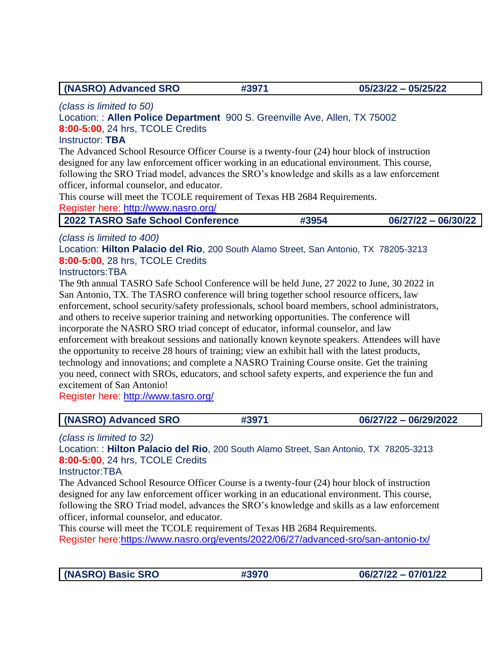**(NASRO) Advanced SRO #3971 05/23/22 – 05/25/22**

*(class is limited to 50)*

## Location: : **Allen Police Department** 900 S. Greenville Ave, Allen, TX 75002 **8:00-5:00**, 24 hrs, TCOLE Credits

#### Instructor: **TBA**

The Advanced School Resource Officer Course is a twenty-four (24) hour block of instruction designed for any law enforcement officer working in an educational environment. This course, following the SRO Triad model, advances the SRO's knowledge and skills as a law enforcement officer, informal counselor, and educator.

This course will meet the TCOLE requirement of Texas HB 2684 Requirements.

Register here:<http://www.nasro.org/>

| 2022 TASRO Safe School Conference | #3954 | $06/27/22 - 06/30/22$ |
|-----------------------------------|-------|-----------------------|
|-----------------------------------|-------|-----------------------|

## *(class is limited to 400)*

Location: **Hilton Palacio del Rio**, 200 South Alamo Street, San Antonio, TX 78205-3213 **8:00-5:00**, 28 hrs, TCOLE Credits

### Instructors:TBA

The 9th annual TASRO Safe School Conference will be held June, 27 2022 to June, 30 2022 in San Antonio, TX. The TASRO conference will bring together school resource officers, law enforcement, school security/safety professionals, school board members, school administrators, and others to receive superior training and networking opportunities. The conference will incorporate the NASRO SRO triad concept of educator, informal counselor, and law enforcement with breakout sessions and nationally known keynote speakers. Attendees will have the opportunity to receive 28 hours of training; view an exhibit hall with the latest products, technology and innovations; and complete a NASRO Training Course onsite. Get the training you need, connect with SROs, educators, and school safety experts, and experience the fun and excitement of San Antonio!

Register here:<http://www.tasro.org/>

| (NASRO) Advanced SRO | #3971 | 06/27/22 - 06/29/2022 |
|----------------------|-------|-----------------------|
|----------------------|-------|-----------------------|

*(class is limited to 32)*

Location: : **Hilton Palacio del Rio**, 200 South Alamo Street, San Antonio, TX 78205-3213 **8:00-5:00**, 24 hrs, TCOLE Credits

#### Instructor:TBA

The Advanced School Resource Officer Course is a twenty-four (24) hour block of instruction designed for any law enforcement officer working in an educational environment. This course, following the SRO Triad model, advances the SRO's knowledge and skills as a law enforcement officer, informal counselor, and educator.

This course will meet the TCOLE requirement of Texas HB 2684 Requirements. Register here:https://www.nasro.org/events/2022/06/27/advanced-sro/san-antonio-tx/

**(NASRO) Basic SRO #3970 06/27/22 – 07/01/22**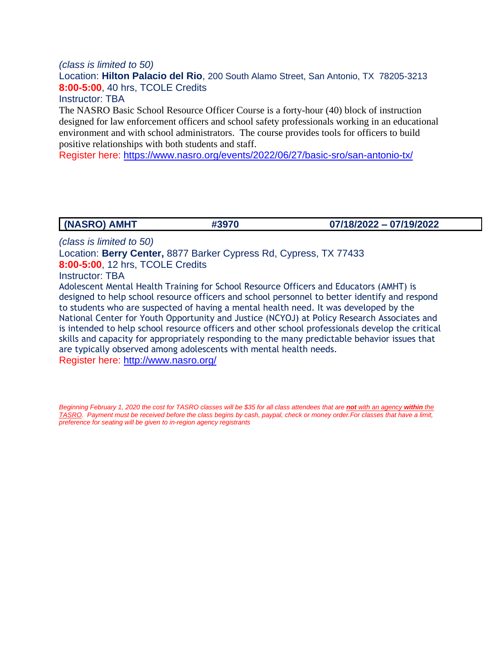#### *(class is limited to 50)*

Location: **Hilton Palacio del Rio**, 200 South Alamo Street, San Antonio, TX 78205-3213 **8:00-5:00**, 40 hrs, TCOLE Credits

Instructor: TBA

The NASRO Basic School Resource Officer Course is a forty-hour (40) block of instruction designed for law enforcement officers and school safety professionals working in an educational environment and with school administrators. The course provides tools for officers to build positive relationships with both students and staff.

Register here: https://www.nasro.org/events/2022/06/27/basic-sro/san-antonio-tx/

**(NASRO) AMHT #3970 07/18/2022 – 07/19/2022**

*(class is limited to 50)*

Location: **Berry Center,** 8877 Barker Cypress Rd, Cypress, TX 77433 **8:00-5:00**, 12 hrs, TCOLE Credits

Instructor: TBA

Adolescent Mental Health Training for School Resource Officers and Educators (AMHT) is designed to help school resource officers and school personnel to better identify and respond to students who are suspected of having a mental health need. It was developed by the National Center for Youth Opportunity and Justice (NCYOJ) at Policy Research Associates and is intended to help school resource officers and other school professionals develop the critical skills and capacity for appropriately responding to the many predictable behavior issues that are typically observed among adolescents with mental health needs. Register here:<http://www.nasro.org/>

*Beginning February 1, 2020 the cost for TASRO classes will be \$35 for all class attendees that are not with an agency within the TASRO. Payment must be received before the class begins by cash, paypal, check or money order.For classes that have a limit, preference for seating will be given to in-region agency registrants*